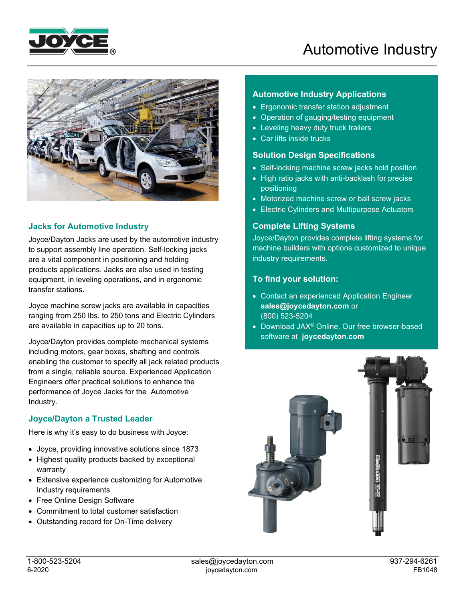



## **Jacks for Automotive Industry**

Joyce/Dayton Jacks are used by the automotive industry to support assembly line operation. Self-locking jacks are a vital component in positioning and holding products applications. Jacks are also used in testing equipment, in leveling operations, and in ergonomic transfer stations.

Joyce machine screw jacks are available in capacities ranging from 250 lbs. to 250 tons and Electric Cylinders are available in capacities up to 20 tons.

Joyce/Dayton provides complete mechanical systems including motors, gear boxes, shafting and controls enabling the customer to specify all jack related products from a single, reliable source. Experienced Application Engineers offer practical solutions to enhance the performance of Joyce Jacks for the Automotive Industry.

## **Joyce/Dayton a Trusted Leader**

Here is why it's easy to do business with Joyce:

- Joyce, providing innovative solutions since 1873
- Highest quality products backed by exceptional warranty
- Extensive experience customizing for Automotive Industry requirements
- Free Online Design Software
- Commitment to total customer satisfaction
- Outstanding record for On-Time delivery

## **Automotive Industry Applications**

- Ergonomic transfer station adjustment
- Operation of gauging/testing equipment
- Leveling heavy duty truck trailers
- Car lifts inside trucks

#### **Solution Design Specifications**

- Self-locking machine screw jacks hold position
- High ratio jacks with anti-backlash for precise positioning
- Motorized machine screw or ball screw jacks
- Electric Cylinders and Multipurpose Actuators

## **Complete Lifting Systems**

Joyce/Dayton provides complete lifting systems for machine builders with options customized to unique industry requirements.

## **To find your solution:**

- Contact an experienced Application Engineer **sales@joycedayton.com** or (800) 523-5204
- Download JAX® Online. Our free browser-based software at **joycedayton.com**